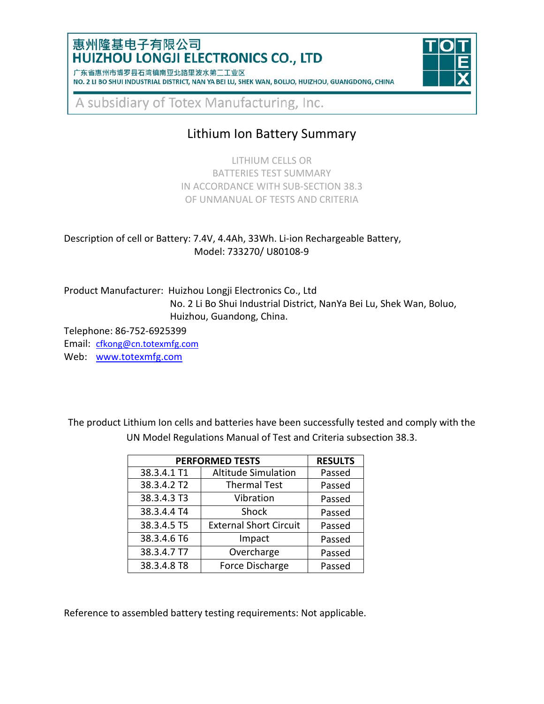### 惠州隆基电子有限公司 **HUIZHOU LONGJI ELECTRONICS CO., LTD**

| 1 朱省惠州市博岁县石湾镇南业北路里波水弟二上业区 |                                                                                                 |  |  |  |  |  |  |
|---------------------------|-------------------------------------------------------------------------------------------------|--|--|--|--|--|--|
|                           | NO. 2 LI BO SHUI INDUSTRIAL DISTRICT, NAN YA BEI LU, SHEK WAN, BOLUO, HUIZHOU, GUANGDONG, CHINA |  |  |  |  |  |  |



A subsidiary of Totex Manufacturing, Inc.

# Lithium Ion Battery Summary

LITHIUM CELLS OR BATTERIES TEST SUMMARY IN ACCORDANCE WITH SUB-SECTION 38.3 OF UNMANUAL OF TESTS AND CRITERIA

Description of cell or Battery: 7.4V, 4.4Ah, 33Wh. Li-ion Rechargeable Battery, Model: 733270/ U80108-9

Product Manufacturer: Huizhou Longji Electronics Co., Ltd No. 2 Li Bo Shui Industrial District, NanYa Bei Lu, Shek Wan, Boluo, Huizhou, Guandong, China.

Telephone: 86-752-6925399

Email: [cfkong@cn.totexmfg.com](mailto:cfkong@cn.totexmfg.com) Web: [www.totexmfg.com](http://www.totexmfg.com/)

The product Lithium Ion cells and batteries have been successfully tested and comply with the UN Model Regulations Manual of Test and Criteria subsection 38.3.

| <b>PERFORMED TESTS</b> | <b>RESULTS</b>                |        |
|------------------------|-------------------------------|--------|
| 38.3.4.1 T1            | <b>Altitude Simulation</b>    | Passed |
| 38.3.4.2 T2            | <b>Thermal Test</b>           | Passed |
| 38.3.4.3 T3            | Vibration                     | Passed |
| 38.3.4.4 T4            | Shock                         | Passed |
| 38.3.4.5 T5            | <b>External Short Circuit</b> | Passed |
| 38.3.4.6 T6            | Impact                        | Passed |
| 38.3.4.7 T7            | Overcharge                    | Passed |
| 38.3.4.8 T8            | Force Discharge               | Passed |

Reference to assembled battery testing requirements: Not applicable.